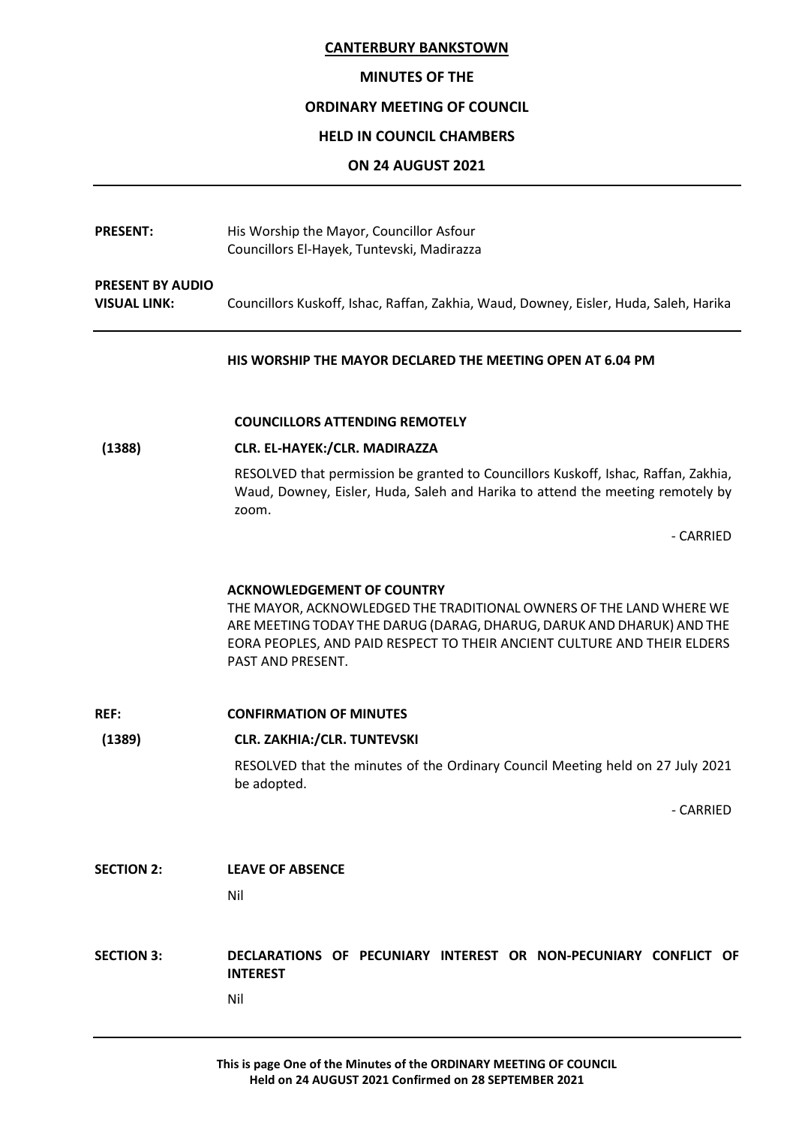#### **MINUTES OF THE**

#### **ORDINARY MEETING OF COUNCIL**

#### **HELD IN COUNCIL CHAMBERS**

#### **ON 24 AUGUST 2021**

**PRESENT:** His Worship the Mayor, Councillor Asfour Councillors El-Hayek, Tuntevski, Madirazza **PRESENT BY AUDIO VISUAL LINK:** Councillors Kuskoff, Ishac, Raffan, Zakhia, Waud, Downey, Eisler, Huda, Saleh, Harika

# **HIS WORSHIP THE MAYOR DECLARED THE MEETING OPEN AT 6.04 PM**

#### **COUNCILLORS ATTENDING REMOTELY**

#### **(1388) CLR. EL-HAYEK:/CLR. MADIRAZZA**

RESOLVED that permission be granted to Councillors Kuskoff, Ishac, Raffan, Zakhia, Waud, Downey, Eisler, Huda, Saleh and Harika to attend the meeting remotely by zoom.

- CARRIED

#### **ACKNOWLEDGEMENT OF COUNTRY**

THE MAYOR, ACKNOWLEDGED THE TRADITIONAL OWNERS OF THE LAND WHERE WE ARE MEETING TODAY THE DARUG (DARAG, DHARUG, DARUK AND DHARUK) AND THE EORA PEOPLES, AND PAID RESPECT TO THEIR ANCIENT CULTURE AND THEIR ELDERS PAST AND PRESENT.

**REF: CONFIRMATION OF MINUTES (1389) CLR. ZAKHIA:/CLR. TUNTEVSKI** RESOLVED that the minutes of the Ordinary Council Meeting held on 27 July 2021 be adopted. - CARRIED **SECTION 2: LEAVE OF ABSENCE** Nil **SECTION 3: DECLARATIONS OF PECUNIARY INTEREST OR NON-PECUNIARY CONFLICT OF INTEREST** Nil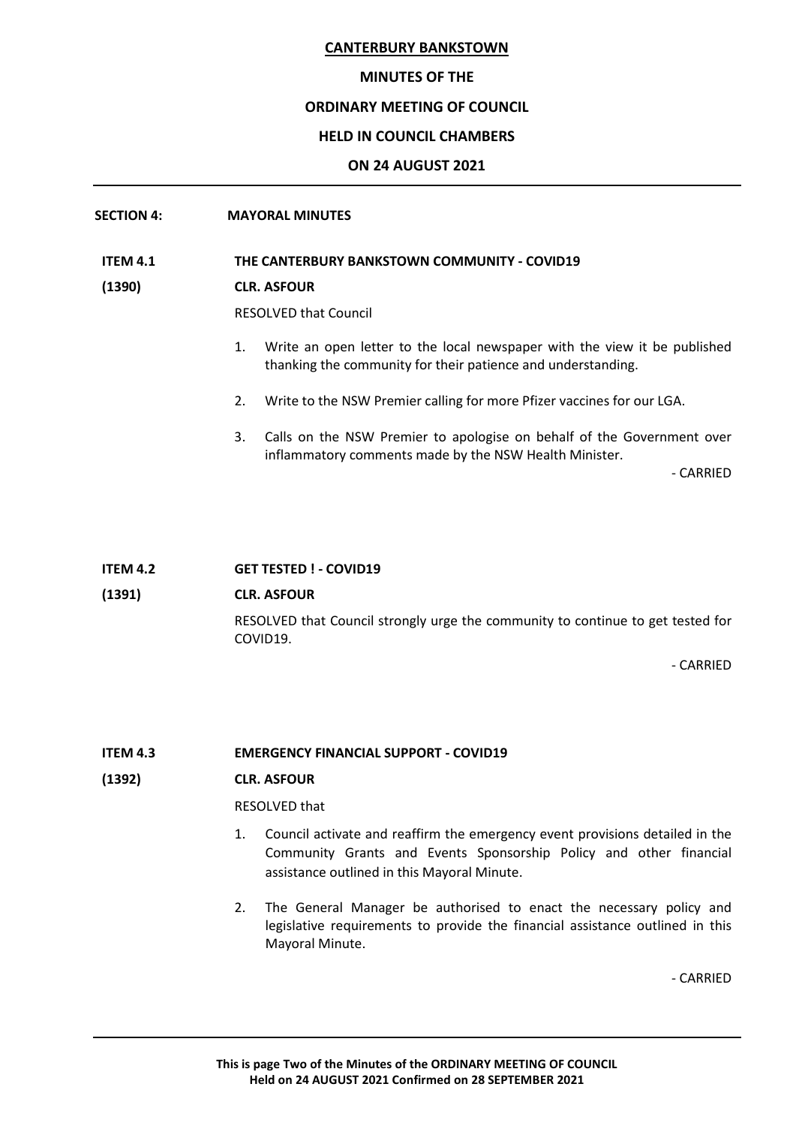# **MINUTES OF THE**

# **ORDINARY MEETING OF COUNCIL**

# **HELD IN COUNCIL CHAMBERS**

# **ON 24 AUGUST 2021**

# **SECTION 4: MAYORAL MINUTES**

#### **ITEM 4.1 THE CANTERBURY BANKSTOWN COMMUNITY - COVID19**

# **(1390) CLR. ASFOUR**

RESOLVED that Council

- 1. Write an open letter to the local newspaper with the view it be published thanking the community for their patience and understanding.
- 2. Write to the NSW Premier calling for more Pfizer vaccines for our LGA.
- 3. Calls on the NSW Premier to apologise on behalf of the Government over inflammatory comments made by the NSW Health Minister.

- CARRIED

#### **ITEM 4.2 GET TESTED ! - COVID19**

# **(1391) CLR. ASFOUR**

RESOLVED that Council strongly urge the community to continue to get tested for COVID19.

- CARRIED

#### **ITEM 4.3 EMERGENCY FINANCIAL SUPPORT - COVID19**

#### **(1392) CLR. ASFOUR**

#### RESOLVED that

- 1. Council activate and reaffirm the emergency event provisions detailed in the Community Grants and Events Sponsorship Policy and other financial assistance outlined in this Mayoral Minute.
- 2. The General Manager be authorised to enact the necessary policy and legislative requirements to provide the financial assistance outlined in this Mayoral Minute.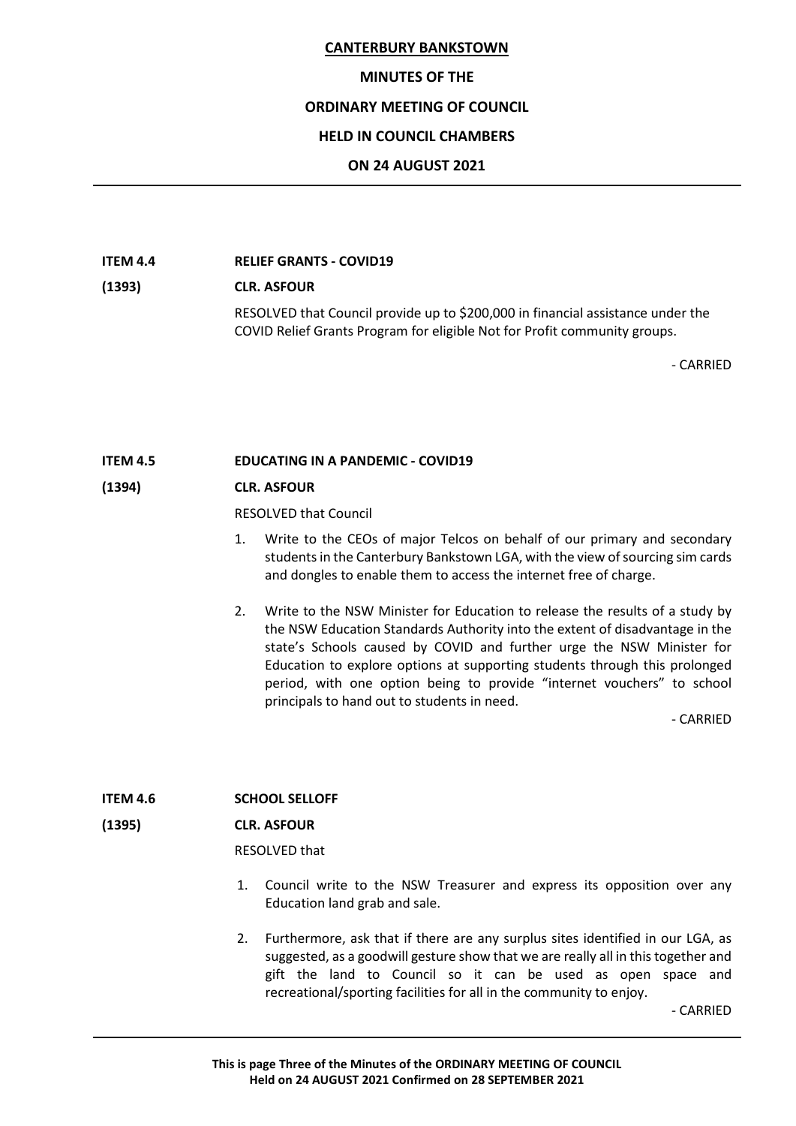#### **MINUTES OF THE**

#### **ORDINARY MEETING OF COUNCIL**

#### **HELD IN COUNCIL CHAMBERS**

#### **ON 24 AUGUST 2021**

#### **ITEM 4.4 RELIEF GRANTS - COVID19**

# **(1393) CLR. ASFOUR**

RESOLVED that Council provide up to \$200,000 in financial assistance under the COVID Relief Grants Program for eligible Not for Profit community groups.

- CARRIED

# **ITEM 4.5 EDUCATING IN A PANDEMIC - COVID19**

#### **(1394) CLR. ASFOUR**

RESOLVED that Council

- 1. Write to the CEOs of major Telcos on behalf of our primary and secondary students in the Canterbury Bankstown LGA, with the view of sourcing sim cards and dongles to enable them to access the internet free of charge.
- 2. Write to the NSW Minister for Education to release the results of a study by the NSW Education Standards Authority into the extent of disadvantage in the state's Schools caused by COVID and further urge the NSW Minister for Education to explore options at supporting students through this prolonged period, with one option being to provide "internet vouchers" to school principals to hand out to students in need.

- CARRIED

#### **ITEM 4.6 SCHOOL SELLOFF**

#### **(1395) CLR. ASFOUR**

RESOLVED that

- 1. Council write to the NSW Treasurer and express its opposition over any Education land grab and sale.
- 2. Furthermore, ask that if there are any surplus sites identified in our LGA, as suggested, as a goodwill gesture show that we are really all in this together and gift the land to Council so it can be used as open space and recreational/sporting facilities for all in the community to enjoy.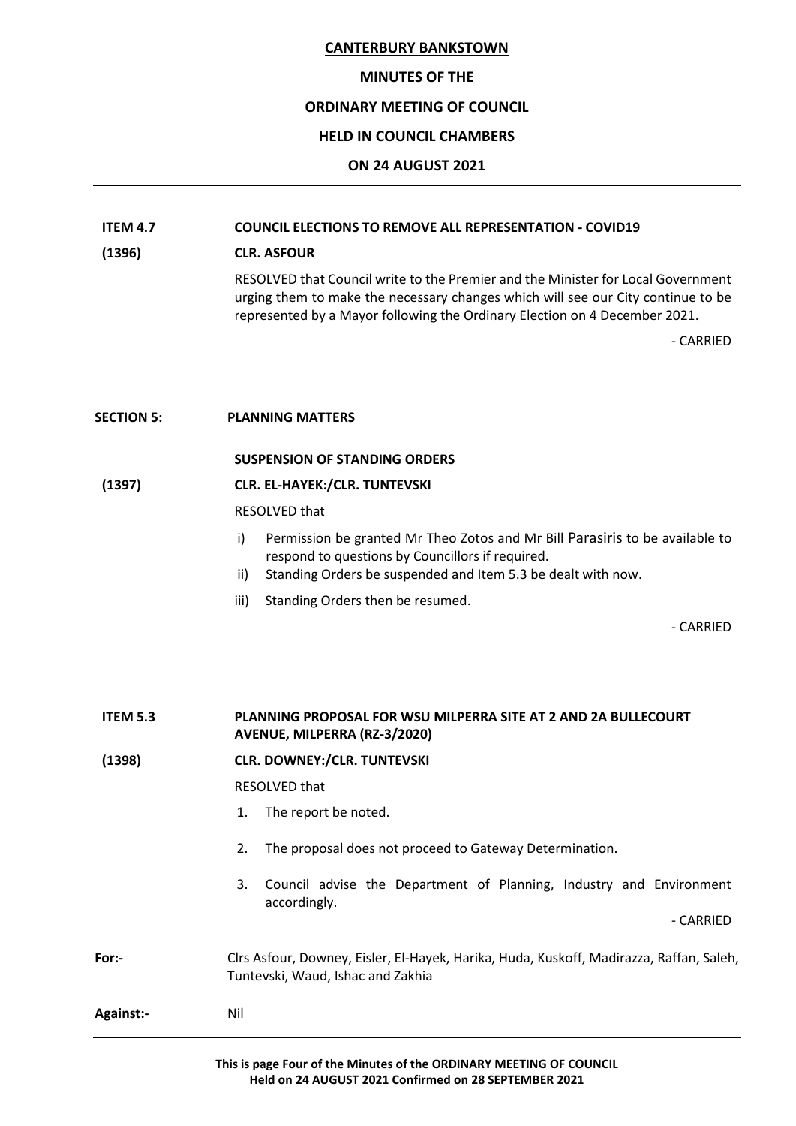#### **MINUTES OF THE**

# **ORDINARY MEETING OF COUNCIL**

# **HELD IN COUNCIL CHAMBERS**

# **ON 24 AUGUST 2021**

# **ITEM 4.7 COUNCIL ELECTIONS TO REMOVE ALL REPRESENTATION - COVID19**

# **(1396) CLR. ASFOUR**

RESOLVED that Council write to the Premier and the Minister for Local Government urging them to make the necessary changes which will see our City continue to be represented by a Mayor following the Ordinary Election on 4 December 2021.

- CARRIED

#### **SECTION 5: PLANNING MATTERS**

#### **SUSPENSION OF STANDING ORDERS**

#### **(1397) CLR. EL-HAYEK:/CLR. TUNTEVSKI**

#### RESOLVED that

- i) Permission be granted Mr Theo Zotos and Mr Bill Parasiris to be available to respond to questions by Councillors if required.
- ii) Standing Orders be suspended and Item 5.3 be dealt with now.
- iii) Standing Orders then be resumed.

| <b>ITEM 5.3</b>  | <b>PLANNING PROPOSAL FOR WSU MILPERRA SITE AT 2 AND 2A BULLECOURT</b><br>AVENUE, MILPERRA (RZ-3/2020)                        |
|------------------|------------------------------------------------------------------------------------------------------------------------------|
| (1398)           | <b>CLR. DOWNEY:/CLR. TUNTEVSKI</b>                                                                                           |
|                  | RESOLVED that                                                                                                                |
|                  | The report be noted.<br>1.                                                                                                   |
|                  | 2.<br>The proposal does not proceed to Gateway Determination.                                                                |
|                  | Council advise the Department of Planning, Industry and Environment<br>3.<br>accordingly.                                    |
|                  | - CARRIED                                                                                                                    |
| For:-            | Clrs Asfour, Downey, Eisler, El-Hayek, Harika, Huda, Kuskoff, Madirazza, Raffan, Saleh,<br>Tuntevski, Waud, Ishac and Zakhia |
| <b>Against:-</b> | Nil                                                                                                                          |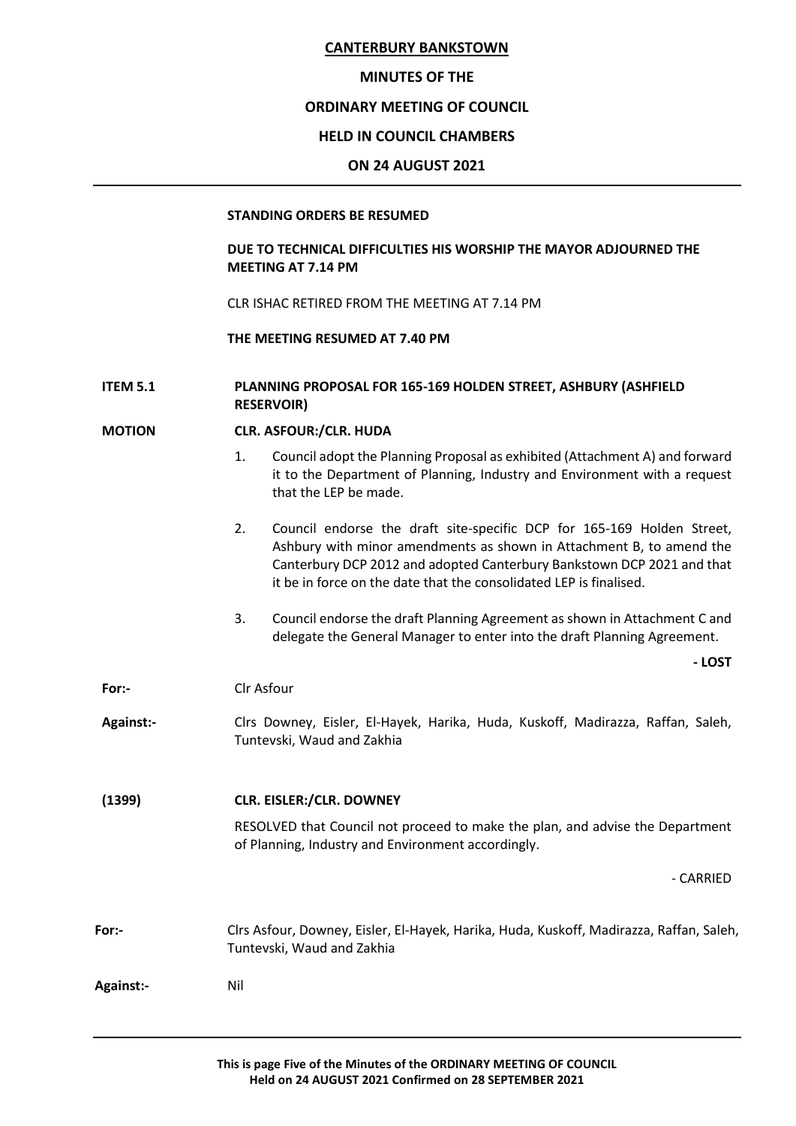#### **MINUTES OF THE**

# **ORDINARY MEETING OF COUNCIL**

# **HELD IN COUNCIL CHAMBERS**

#### **ON 24 AUGUST 2021**

#### **STANDING ORDERS BE RESUMED**

# **DUE TO TECHNICAL DIFFICULTIES HIS WORSHIP THE MAYOR ADJOURNED THE MEETING AT 7.14 PM**

CLR ISHAC RETIRED FROM THE MEETING AT 7.14 PM

# **THE MEETING RESUMED AT 7.40 PM**

# **ITEM 5.1 PLANNING PROPOSAL FOR 165-169 HOLDEN STREET, ASHBURY (ASHFIELD RESERVOIR)**

#### **MOTION CLR. ASFOUR:/CLR. HUDA**

- 1. Council adopt the Planning Proposal as exhibited (Attachment A) and forward it to the Department of Planning, Industry and Environment with a request that the LEP be made.
- 2. Council endorse the draft site-specific DCP for 165-169 Holden Street, Ashbury with minor amendments as shown in Attachment B, to amend the Canterbury DCP 2012 and adopted Canterbury Bankstown DCP 2021 and that it be in force on the date that the consolidated LEP is finalised.
- 3. Council endorse the draft Planning Agreement as shown in Attachment C and delegate the General Manager to enter into the draft Planning Agreement.

**For:-** Clr Asfour

- **Against:-** Clrs Downey, Eisler, El-Hayek, Harika, Huda, Kuskoff, Madirazza, Raffan, Saleh, Tuntevski, Waud and Zakhia
- **(1399) CLR. EISLER:/CLR. DOWNEY**
	- RESOLVED that Council not proceed to make the plan, and advise the Department of Planning, Industry and Environment accordingly.

- CARRIED

**- LOST**

**For:-** Clrs Asfour, Downey, Eisler, El-Hayek, Harika, Huda, Kuskoff, Madirazza, Raffan, Saleh, Tuntevski, Waud and Zakhia

**Against:-** Nil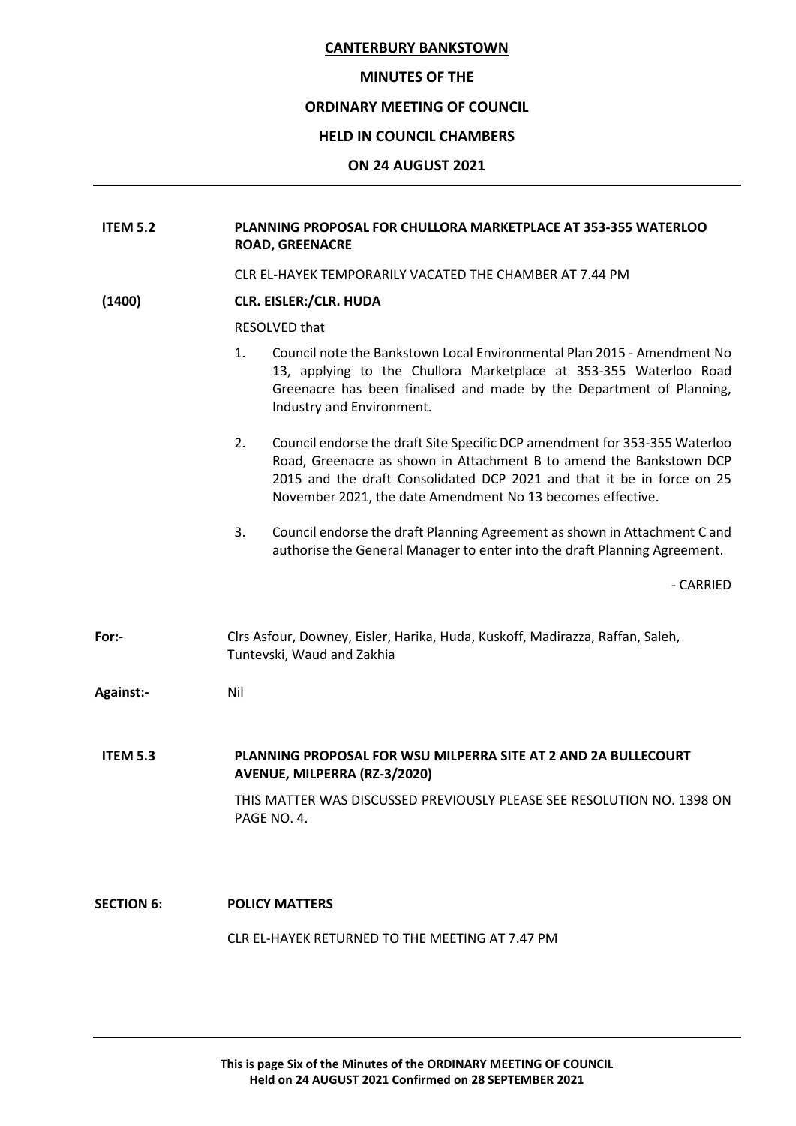# **MINUTES OF THE**

# **ORDINARY MEETING OF COUNCIL**

# **HELD IN COUNCIL CHAMBERS**

#### **ON 24 AUGUST 2021**

| <b>ITEM 5.2</b>   | <b>PLANNING PROPOSAL FOR CHULLORA MARKETPLACE AT 353-355 WATERLOO</b><br><b>ROAD, GREENACRE</b>                                                                                                                                                                                                 |
|-------------------|-------------------------------------------------------------------------------------------------------------------------------------------------------------------------------------------------------------------------------------------------------------------------------------------------|
|                   | CLR EL-HAYEK TEMPORARILY VACATED THE CHAMBER AT 7.44 PM                                                                                                                                                                                                                                         |
| (1400)            | <b>CLR. EISLER:/CLR. HUDA</b>                                                                                                                                                                                                                                                                   |
|                   | <b>RESOLVED that</b>                                                                                                                                                                                                                                                                            |
|                   | Council note the Bankstown Local Environmental Plan 2015 - Amendment No<br>1.<br>13, applying to the Chullora Marketplace at 353-355 Waterloo Road<br>Greenacre has been finalised and made by the Department of Planning,<br>Industry and Environment.                                         |
|                   | Council endorse the draft Site Specific DCP amendment for 353-355 Waterloo<br>2.<br>Road, Greenacre as shown in Attachment B to amend the Bankstown DCP<br>2015 and the draft Consolidated DCP 2021 and that it be in force on 25<br>November 2021, the date Amendment No 13 becomes effective. |
|                   | 3.<br>Council endorse the draft Planning Agreement as shown in Attachment C and<br>authorise the General Manager to enter into the draft Planning Agreement.                                                                                                                                    |
|                   | - CARRIED                                                                                                                                                                                                                                                                                       |
| For:-             | Clrs Asfour, Downey, Eisler, Harika, Huda, Kuskoff, Madirazza, Raffan, Saleh,<br>Tuntevski, Waud and Zakhia                                                                                                                                                                                     |
| Against:-         | Nil                                                                                                                                                                                                                                                                                             |
| <b>ITEM 5.3</b>   | PLANNING PROPOSAL FOR WSU MILPERRA SITE AT 2 AND 2A BULLECOURT<br>AVENUE, MILPERRA (RZ-3/2020)                                                                                                                                                                                                  |
|                   | THIS MATTER WAS DISCUSSED PREVIOUSLY PLEASE SEE RESOLUTION NO. 1398 ON<br>PAGE NO. 4.                                                                                                                                                                                                           |
| <b>SECTION 6:</b> | <b>POLICY MATTERS</b>                                                                                                                                                                                                                                                                           |
|                   | CLR EL-HAYEK RETURNED TO THE MEETING AT 7.47 PM                                                                                                                                                                                                                                                 |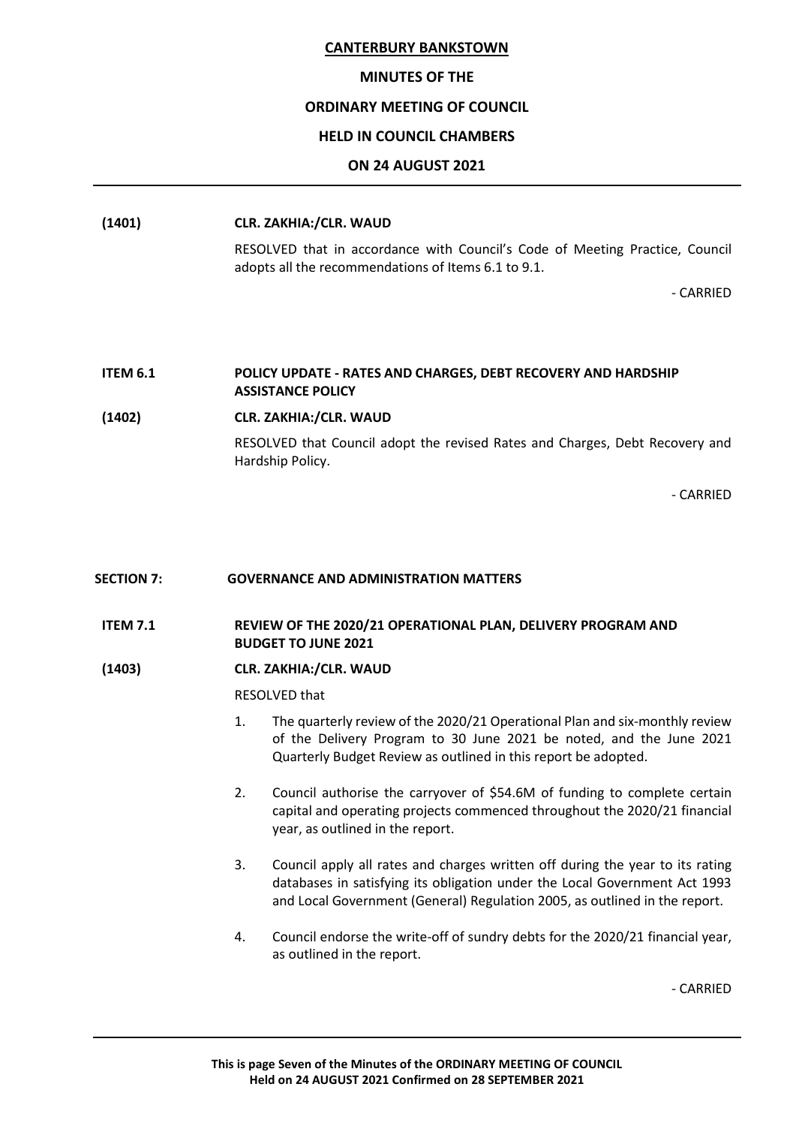#### **MINUTES OF THE**

# **ORDINARY MEETING OF COUNCIL**

# **HELD IN COUNCIL CHAMBERS**

# **ON 24 AUGUST 2021**

#### **(1401) CLR. ZAKHIA:/CLR. WAUD**

RESOLVED that in accordance with Council's Code of Meeting Practice, Council adopts all the recommendations of Items 6.1 to 9.1.

- CARRIED

#### **ITEM 6.1 POLICY UPDATE - RATES AND CHARGES, DEBT RECOVERY AND HARDSHIP ASSISTANCE POLICY**

#### **(1402) CLR. ZAKHIA:/CLR. WAUD**

RESOLVED that Council adopt the revised Rates and Charges, Debt Recovery and Hardship Policy.

- CARRIED

#### **SECTION 7: GOVERNANCE AND ADMINISTRATION MATTERS**

# **ITEM 7.1 REVIEW OF THE 2020/21 OPERATIONAL PLAN, DELIVERY PROGRAM AND BUDGET TO JUNE 2021**

#### **(1403) CLR. ZAKHIA:/CLR. WAUD**

RESOLVED that

- 1. The quarterly review of the 2020/21 Operational Plan and six-monthly review of the Delivery Program to 30 June 2021 be noted, and the June 2021 Quarterly Budget Review as outlined in this report be adopted.
- 2. Council authorise the carryover of \$54.6M of funding to complete certain capital and operating projects commenced throughout the 2020/21 financial year, as outlined in the report.
- 3. Council apply all rates and charges written off during the year to its rating databases in satisfying its obligation under the Local Government Act 1993 and Local Government (General) Regulation 2005, as outlined in the report.
- 4. Council endorse the write-off of sundry debts for the 2020/21 financial year, as outlined in the report.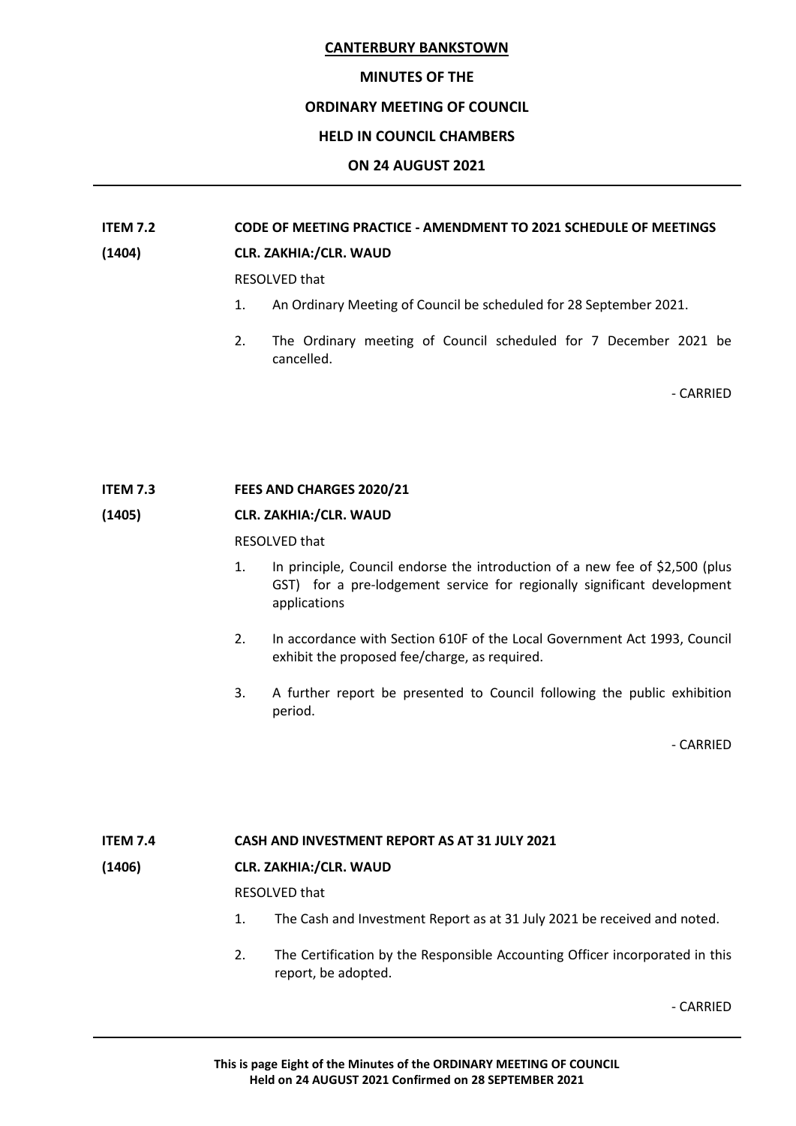#### **MINUTES OF THE**

#### **ORDINARY MEETING OF COUNCIL**

# **HELD IN COUNCIL CHAMBERS**

# **ON 24 AUGUST 2021**

# **ITEM 7.2 CODE OF MEETING PRACTICE - AMENDMENT TO 2021 SCHEDULE OF MEETINGS (1404) CLR. ZAKHIA:/CLR. WAUD**

RESOLVED that

- 1. An Ordinary Meeting of Council be scheduled for 28 September 2021.
- 2. The Ordinary meeting of Council scheduled for 7 December 2021 be cancelled.

- CARRIED

#### **ITEM 7.3 FEES AND CHARGES 2020/21**

#### **(1405) CLR. ZAKHIA:/CLR. WAUD**

RESOLVED that

- 1. In principle, Council endorse the introduction of a new fee of \$2,500 (plus GST) for a pre-lodgement service for regionally significant development applications
- 2. In accordance with Section 610F of the Local Government Act 1993, Council exhibit the proposed fee/charge, as required.
- 3. A further report be presented to Council following the public exhibition period.

- CARRIED

#### **ITEM 7.4 CASH AND INVESTMENT REPORT AS AT 31 JULY 2021**

#### **(1406) CLR. ZAKHIA:/CLR. WAUD**

RESOLVED that

- 1. The Cash and Investment Report as at 31 July 2021 be received and noted.
- 2. The Certification by the Responsible Accounting Officer incorporated in this report, be adopted.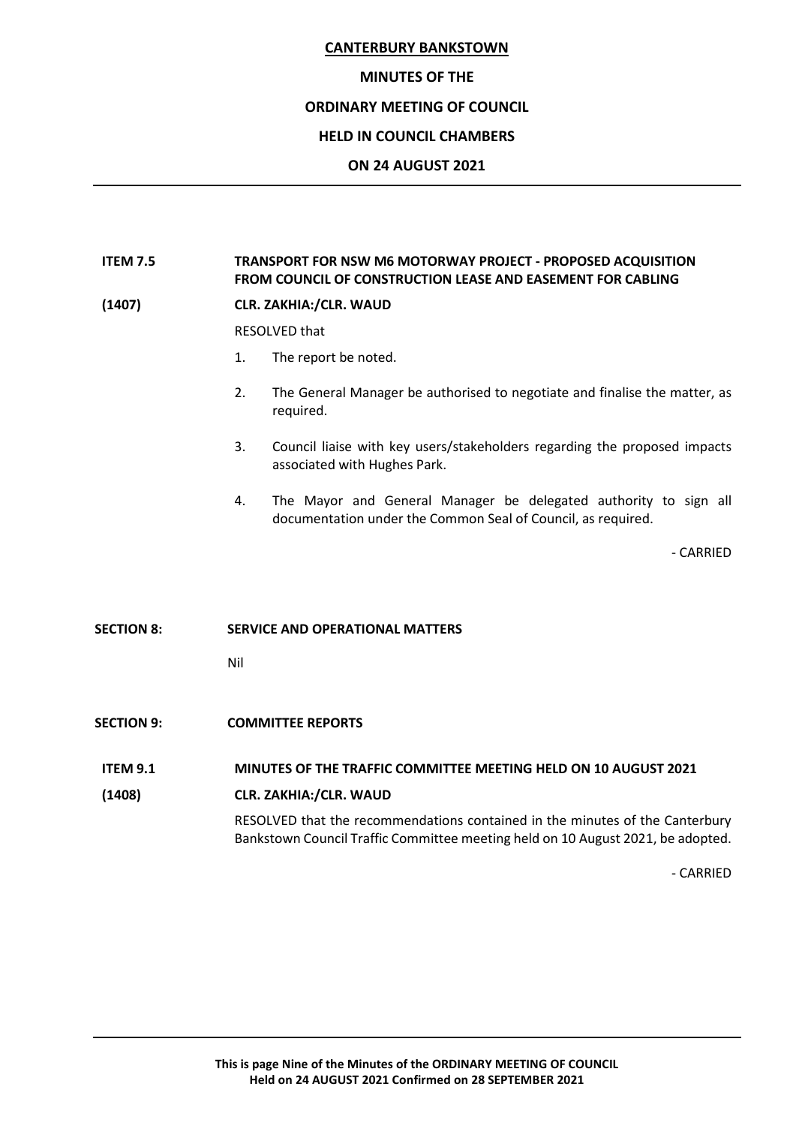# **MINUTES OF THE ORDINARY MEETING OF COUNCIL HELD IN COUNCIL CHAMBERS ON 24 AUGUST 2021**

# **ITEM 7.5 TRANSPORT FOR NSW M6 MOTORWAY PROJECT - PROPOSED ACQUISITION FROM COUNCIL OF CONSTRUCTION LEASE AND EASEMENT FOR CABLING**

#### **(1407) CLR. ZAKHIA:/CLR. WAUD**

RESOLVED that

- 1. The report be noted.
- 2. The General Manager be authorised to negotiate and finalise the matter, as required.
- 3. Council liaise with key users/stakeholders regarding the proposed impacts associated with Hughes Park.
- 4. The Mayor and General Manager be delegated authority to sign all documentation under the Common Seal of Council, as required.

- CARRIED

#### **SECTION 8: SERVICE AND OPERATIONAL MATTERS**

Nil

**SECTION 9: COMMITTEE REPORTS**

#### **ITEM 9.1 MINUTES OF THE TRAFFIC COMMITTEE MEETING HELD ON 10 AUGUST 2021**

#### **(1408) CLR. ZAKHIA:/CLR. WAUD**

RESOLVED that the recommendations contained in the minutes of the Canterbury Bankstown Council Traffic Committee meeting held on 10 August 2021, be adopted.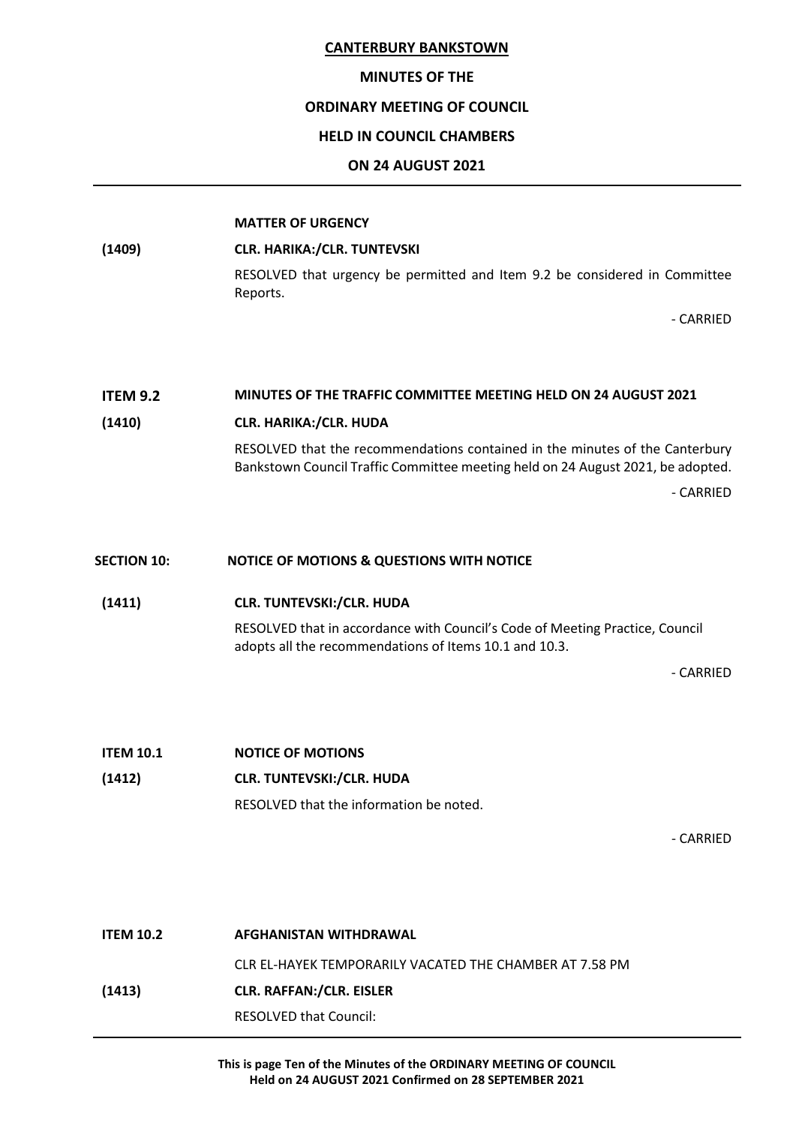#### **MINUTES OF THE**

#### **ORDINARY MEETING OF COUNCIL**

#### **HELD IN COUNCIL CHAMBERS**

#### **ON 24 AUGUST 2021**

#### **MATTER OF URGENCY**

**(1409) CLR. HARIKA:/CLR. TUNTEVSKI**

RESOLVED that urgency be permitted and Item 9.2 be considered in Committee Reports.

- CARRIED

#### **ITEM 9.2 MINUTES OF THE TRAFFIC COMMITTEE MEETING HELD ON 24 AUGUST 2021**

#### **(1410) CLR. HARIKA:/CLR. HUDA**

RESOLVED that the recommendations contained in the minutes of the Canterbury Bankstown Council Traffic Committee meeting held on 24 August 2021, be adopted. - CARRIED

#### **SECTION 10: NOTICE OF MOTIONS & QUESTIONS WITH NOTICE**

#### **(1411) CLR. TUNTEVSKI:/CLR. HUDA**

RESOLVED that in accordance with Council's Code of Meeting Practice, Council adopts all the recommendations of Items 10.1 and 10.3.

- CARRIED

**ITEM 10.1 NOTICE OF MOTIONS (1412) CLR. TUNTEVSKI:/CLR. HUDA** RESOLVED that the information be noted.

- CARRIED

**ITEM 10.2 AFGHANISTAN WITHDRAWAL** CLR EL-HAYEK TEMPORARILY VACATED THE CHAMBER AT 7.58 PM **(1413) CLR. RAFFAN:/CLR. EISLER** RESOLVED that Council:

> **This is page Ten of the Minutes of the ORDINARY MEETING OF COUNCIL Held on 24 AUGUST 2021 Confirmed on 28 SEPTEMBER 2021**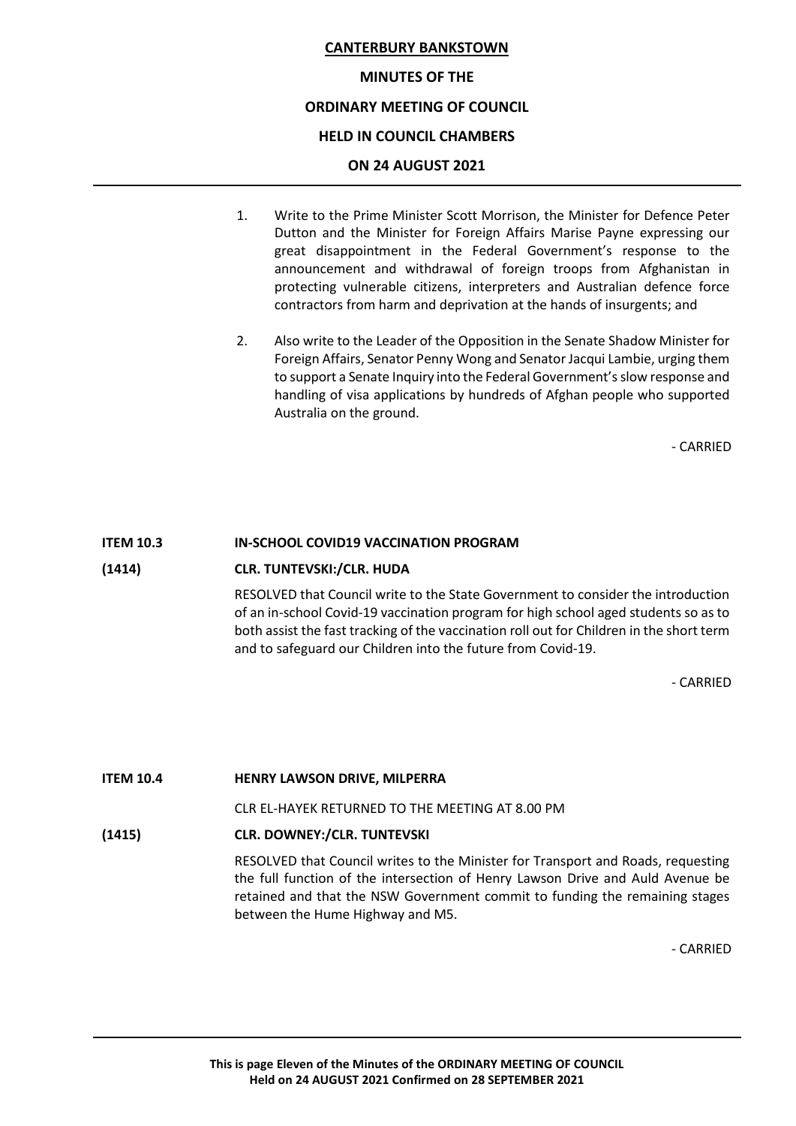# **MINUTES OF THE ORDINARY MEETING OF COUNCIL HELD IN COUNCIL CHAMBERS ON 24 AUGUST 2021**

- 1. Write to the Prime Minister Scott Morrison, the Minister for Defence Peter Dutton and the Minister for Foreign Affairs Marise Payne expressing our great disappointment in the Federal Government's response to the announcement and withdrawal of foreign troops from Afghanistan in protecting vulnerable citizens, interpreters and Australian defence force contractors from harm and deprivation at the hands of insurgents; and
- 2. Also write to the Leader of the Opposition in the Senate Shadow Minister for Foreign Affairs, Senator Penny Wong and Senator Jacqui Lambie, urging them to support a Senate Inquiry into the Federal Government's slow response and handling of visa applications by hundreds of Afghan people who supported Australia on the ground.

- CARRIED

#### **ITEM 10.3 IN-SCHOOL COVID19 VACCINATION PROGRAM**

#### **(1414) CLR. TUNTEVSKI:/CLR. HUDA**

RESOLVED that Council write to the State Government to consider the introduction of an in-school Covid-19 vaccination program for high school aged students so as to both assist the fast tracking of the vaccination roll out for Children in the short term and to safeguard our Children into the future from Covid-19.

- CARRIED

#### **ITEM 10.4 HENRY LAWSON DRIVE, MILPERRA**

CLR EL-HAYEK RETURNED TO THE MEETING AT 8.00 PM

# **(1415) CLR. DOWNEY:/CLR. TUNTEVSKI**

RESOLVED that Council writes to the Minister for Transport and Roads, requesting the full function of the intersection of Henry Lawson Drive and Auld Avenue be retained and that the NSW Government commit to funding the remaining stages between the Hume Highway and M5.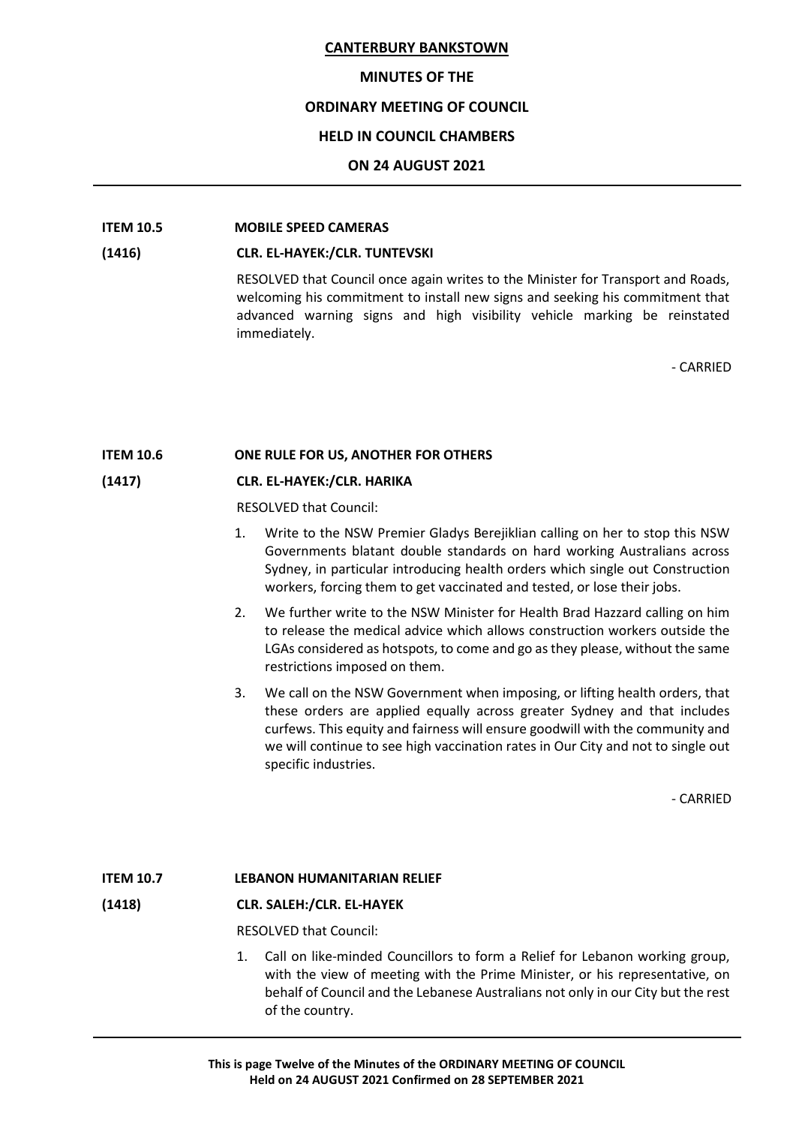#### **MINUTES OF THE**

# **ORDINARY MEETING OF COUNCIL**

# **HELD IN COUNCIL CHAMBERS**

#### **ON 24 AUGUST 2021**

# **ITEM 10.5 MOBILE SPEED CAMERAS**

#### **(1416) CLR. EL-HAYEK:/CLR. TUNTEVSKI**

RESOLVED that Council once again writes to the Minister for Transport and Roads, welcoming his commitment to install new signs and seeking his commitment that advanced warning signs and high visibility vehicle marking be reinstated immediately.

- CARRIED

# **ITEM 10.6 ONE RULE FOR US, ANOTHER FOR OTHERS**

# **(1417) CLR. EL-HAYEK:/CLR. HARIKA**

RESOLVED that Council:

- 1. Write to the NSW Premier Gladys Berejiklian calling on her to stop this NSW Governments blatant double standards on hard working Australians across Sydney, in particular introducing health orders which single out Construction workers, forcing them to get vaccinated and tested, or lose their jobs.
- 2. We further write to the NSW Minister for Health Brad Hazzard calling on him to release the medical advice which allows construction workers outside the LGAs considered as hotspots, to come and go as they please, without the same restrictions imposed on them.
- 3. We call on the NSW Government when imposing, or lifting health orders, that these orders are applied equally across greater Sydney and that includes curfews. This equity and fairness will ensure goodwill with the community and we will continue to see high vaccination rates in Our City and not to single out specific industries.

- CARRIED

# **ITEM 10.7 LEBANON HUMANITARIAN RELIEF**

#### **(1418) CLR. SALEH:/CLR. EL-HAYEK**

RESOLVED that Council:

1. Call on like-minded Councillors to form a Relief for Lebanon working group, with the view of meeting with the Prime Minister, or his representative, on behalf of Council and the Lebanese Australians not only in our City but the rest of the country.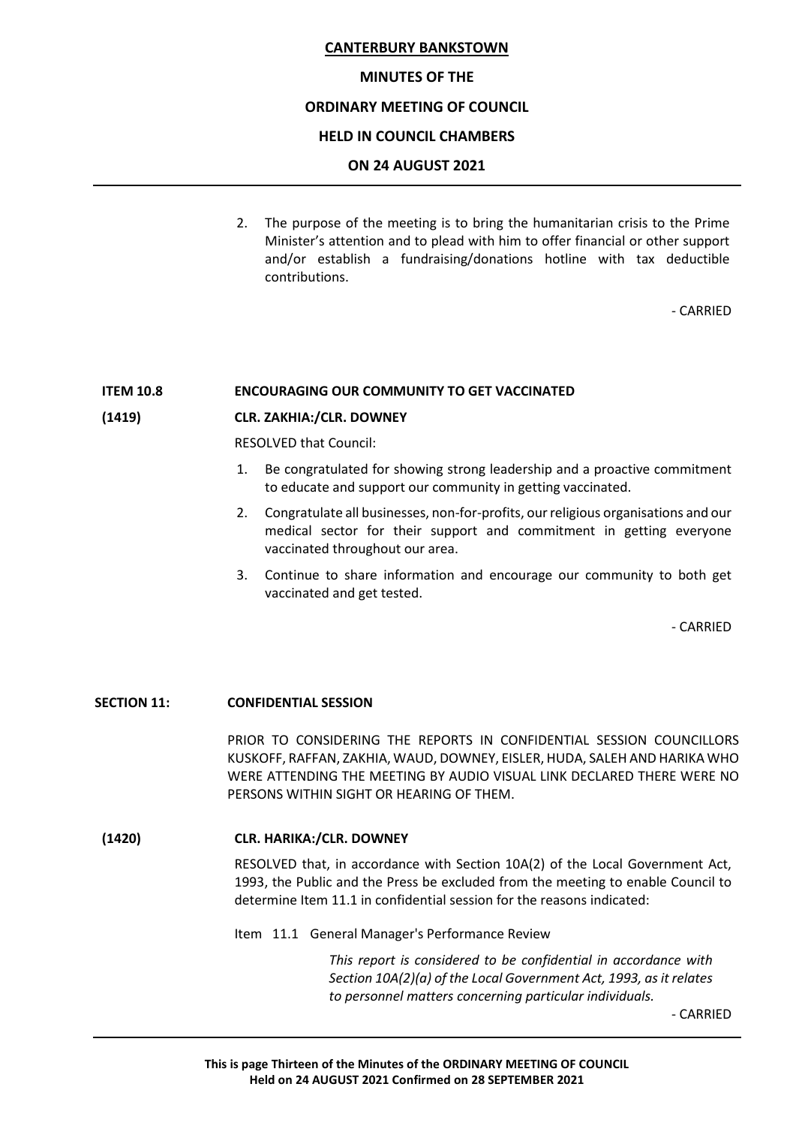#### **MINUTES OF THE**

# **ORDINARY MEETING OF COUNCIL**

#### **HELD IN COUNCIL CHAMBERS**

#### **ON 24 AUGUST 2021**

2. The purpose of the meeting is to bring the humanitarian crisis to the Prime Minister's attention and to plead with him to offer financial or other support and/or establish a fundraising/donations hotline with tax deductible contributions.

- CARRIED

#### **ITEM 10.8 ENCOURAGING OUR COMMUNITY TO GET VACCINATED**

#### **(1419) CLR. ZAKHIA:/CLR. DOWNEY**

RESOLVED that Council:

- 1. Be congratulated for showing strong leadership and a proactive commitment to educate and support our community in getting vaccinated.
- 2. Congratulate all businesses, non-for-profits, our religious organisations and our medical sector for their support and commitment in getting everyone vaccinated throughout our area.
- 3. Continue to share information and encourage our community to both get vaccinated and get tested.

- CARRIED

#### **SECTION 11: CONFIDENTIAL SESSION**

PRIOR TO CONSIDERING THE REPORTS IN CONFIDENTIAL SESSION COUNCILLORS KUSKOFF, RAFFAN, ZAKHIA, WAUD, DOWNEY, EISLER, HUDA, SALEH AND HARIKA WHO WERE ATTENDING THE MEETING BY AUDIO VISUAL LINK DECLARED THERE WERE NO PERSONS WITHIN SIGHT OR HEARING OF THEM.

#### **(1420) CLR. HARIKA:/CLR. DOWNEY**

RESOLVED that, in accordance with Section 10A(2) of the Local Government Act, 1993, the Public and the Press be excluded from the meeting to enable Council to determine Item 11.1 in confidential session for the reasons indicated:

#### Item 11.1 General Manager's Performance Review

*This report is considered to be confidential in accordance with Section 10A(2)(a) of the Local Government Act, 1993, as it relates to personnel matters concerning particular individuals.*